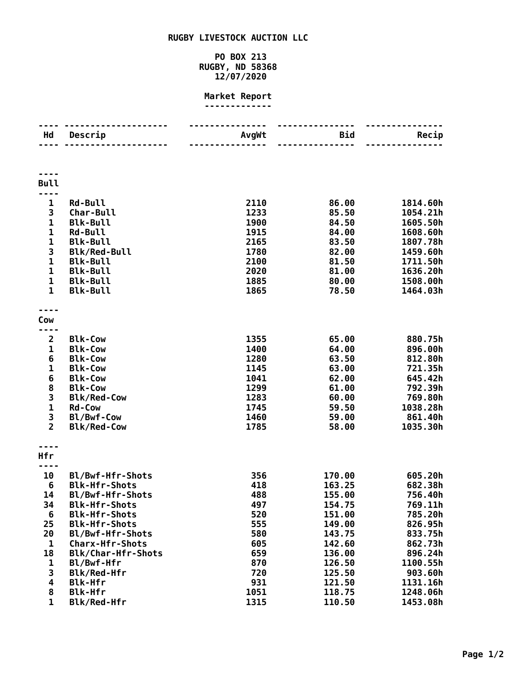## **RUGBY LIVESTOCK AUCTION LLC**

## **PO BOX 213 RUGBY, ND 58368 12/07/2020**

## **Market Report -------------**

| Hd                  | Descrip                                      | AvgWt        | Bid              | Recip              |
|---------------------|----------------------------------------------|--------------|------------------|--------------------|
|                     |                                              |              |                  |                    |
| <b>Bull</b>         |                                              |              |                  |                    |
|                     |                                              |              |                  |                    |
| $\mathbf{1}$        | <b>Rd-Bull</b>                               | 2110         | 86.00            | 1814.60h           |
| 3                   | Char-Bull                                    | 1233         | 85.50            | 1054.21h           |
| $\mathbf{1}$        | <b>Blk-Bull</b>                              | 1900         | 84.50            | 1605.50h           |
| $\mathbf 1$         | <b>Rd-Bull</b>                               | 1915         | 84.00            | 1608.60h           |
| 1                   | <b>Blk-Bull</b>                              | 2165         | 83.50            | 1807.78h           |
| 3                   | <b>Blk/Red-Bull</b>                          | 1780         | 82.00            | 1459.60h           |
| $\mathbf{1}$        | <b>Blk-Bull</b>                              | 2100         | 81.50            | 1711.50h           |
| $\mathbf{1}$        | <b>Blk-Bull</b>                              | 2020         | 81.00            | 1636.20h           |
| 1                   | <b>Blk-Bull</b>                              | 1885         | 80.00            | 1508.00h           |
| 1                   | <b>Blk-Bull</b>                              | 1865         | 78.50            | 1464.03h           |
|                     |                                              |              |                  |                    |
| Cow                 |                                              |              |                  |                    |
|                     |                                              |              |                  |                    |
| $\overline{2}$<br>1 | <b>Blk-Cow</b><br><b>Blk-Cow</b>             | 1355<br>1400 | 65.00<br>64.00   | 880.75h<br>896.00h |
| 6                   | <b>Blk-Cow</b>                               | 1280         | 63.50            | 812.80h            |
| 1                   | <b>Blk-Cow</b>                               | 1145         | 63.00            | 721.35h            |
| 6                   | <b>Blk-Cow</b>                               | 1041         | 62.00            | 645.42h            |
| 8                   | <b>Blk-Cow</b>                               | 1299         | 61.00            | 792.39h            |
| 3                   | <b>Blk/Red-Cow</b>                           | 1283         | 60.00            | 769.80h            |
| $\mathbf{1}$        | <b>Rd-Cow</b>                                | 1745         | 59.50            | 1038.28h           |
| 3                   | Bl/Bwf-Cow                                   | 1460         | 59.00            | 861.40h            |
| $\overline{2}$      | <b>Blk/Red-Cow</b>                           | 1785         | 58.00            | 1035.30h           |
|                     |                                              |              |                  |                    |
| Hfr                 |                                              |              |                  |                    |
| ----                |                                              |              |                  |                    |
| 10                  | Bl/Bwf-Hfr-Shots                             | 356          | 170.00           | 605.20h            |
| 6                   | <b>Blk-Hfr-Shots</b>                         | 418          | 163.25           | 682.38h            |
| 14                  | Bl/Bwf-Hfr-Shots                             | 488          | 155.00           | 756.40h            |
| 34                  | <b>Blk-Hfr-Shots</b>                         | 497          | 154.75           | 769.11h            |
| 6<br>25             | <b>Blk-Hfr-Shots</b><br><b>Blk-Hfr-Shots</b> | 520<br>555   | 151.00<br>149.00 | 785.20h<br>826.95h |
| 20                  | Bl/Bwf-Hfr-Shots                             | 580          | 143.75           | 833.75h            |
| $\mathbf{1}$        | <b>Charx-Hfr-Shots</b>                       | 605          | 142.60           | 862.73h            |
| 18                  | Blk/Char-Hfr-Shots                           | 659          | 136.00           | 896.24h            |
| 1                   | Bl/Bwf-Hfr                                   | 870          | 126.50           | 1100.55h           |
| 3                   | Blk/Red-Hfr                                  | 720          | 125.50           | 903.60h            |
| 4                   | <b>Blk-Hfr</b>                               | 931          | 121.50           | 1131.16h           |
| 8                   | <b>Blk-Hfr</b>                               | 1051         | 118.75           | 1248.06h           |
| $\mathbf{1}$        | Blk/Red-Hfr                                  | 1315         | 110.50           | 1453.08h           |